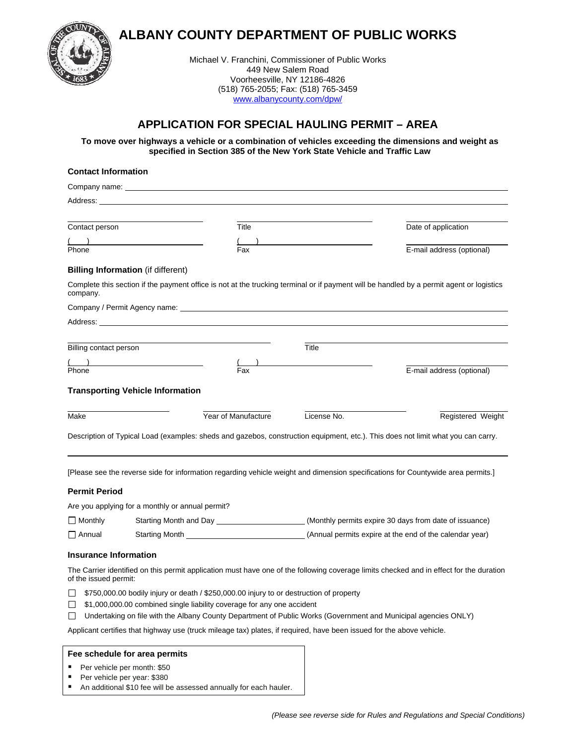



Michael V. Franchini, Commissioner of Public Works 449 New Salem Road Voorheesville, NY 12186-4826 (518) 765-2055; Fax: (518) 765-3459 [www.albanycounty.com/dpw/](http://www.albanycounty.com/dpw/)

# **APPLICATION FOR SPECIAL HAULING PERMIT – AREA**

**To move over highways a vehicle or a combination of vehicles exceeding the dimensions and weight as specified in Section 385 of the New York State Vehicle and Traffic Law**

| <b>Contact Information</b>                |                                                                                                      |                                                                                                                                                                                                                                |                                                                                                                                  |                                                                                                                                          |  |
|-------------------------------------------|------------------------------------------------------------------------------------------------------|--------------------------------------------------------------------------------------------------------------------------------------------------------------------------------------------------------------------------------|----------------------------------------------------------------------------------------------------------------------------------|------------------------------------------------------------------------------------------------------------------------------------------|--|
|                                           | Company name: example and a series of the company name:                                              |                                                                                                                                                                                                                                |                                                                                                                                  |                                                                                                                                          |  |
|                                           | Address: Address: Address: Address: Address: Address: Address: Address: Address: Address: Address: A |                                                                                                                                                                                                                                |                                                                                                                                  |                                                                                                                                          |  |
|                                           |                                                                                                      |                                                                                                                                                                                                                                |                                                                                                                                  |                                                                                                                                          |  |
| Contact person                            |                                                                                                      | Title                                                                                                                                                                                                                          |                                                                                                                                  | Date of application                                                                                                                      |  |
|                                           |                                                                                                      |                                                                                                                                                                                                                                |                                                                                                                                  |                                                                                                                                          |  |
| Phone                                     |                                                                                                      | Fax                                                                                                                                                                                                                            |                                                                                                                                  | E-mail address (optional)                                                                                                                |  |
| <b>Billing Information</b> (if different) |                                                                                                      |                                                                                                                                                                                                                                |                                                                                                                                  |                                                                                                                                          |  |
| company.                                  |                                                                                                      |                                                                                                                                                                                                                                |                                                                                                                                  | Complete this section if the payment office is not at the trucking terminal or if payment will be handled by a permit agent or logistics |  |
|                                           |                                                                                                      |                                                                                                                                                                                                                                |                                                                                                                                  |                                                                                                                                          |  |
|                                           |                                                                                                      | Address: the contract of the contract of the contract of the contract of the contract of the contract of the contract of the contract of the contract of the contract of the contract of the contract of the contract of the c |                                                                                                                                  |                                                                                                                                          |  |
|                                           |                                                                                                      |                                                                                                                                                                                                                                |                                                                                                                                  |                                                                                                                                          |  |
| Billing contact person                    |                                                                                                      |                                                                                                                                                                                                                                | Title                                                                                                                            |                                                                                                                                          |  |
|                                           |                                                                                                      |                                                                                                                                                                                                                                |                                                                                                                                  |                                                                                                                                          |  |
| Phone                                     |                                                                                                      | Fax                                                                                                                                                                                                                            |                                                                                                                                  | E-mail address (optional)                                                                                                                |  |
|                                           | <b>Transporting Vehicle Information</b>                                                              |                                                                                                                                                                                                                                |                                                                                                                                  |                                                                                                                                          |  |
|                                           |                                                                                                      |                                                                                                                                                                                                                                |                                                                                                                                  |                                                                                                                                          |  |
| Make                                      |                                                                                                      | Year of Manufacture                                                                                                                                                                                                            | License No.                                                                                                                      | Registered Weight                                                                                                                        |  |
|                                           |                                                                                                      |                                                                                                                                                                                                                                |                                                                                                                                  |                                                                                                                                          |  |
|                                           |                                                                                                      |                                                                                                                                                                                                                                | Description of Typical Load (examples: sheds and gazebos, construction equipment, etc.). This does not limit what you can carry. |                                                                                                                                          |  |
|                                           |                                                                                                      |                                                                                                                                                                                                                                |                                                                                                                                  |                                                                                                                                          |  |
|                                           |                                                                                                      |                                                                                                                                                                                                                                |                                                                                                                                  |                                                                                                                                          |  |
|                                           |                                                                                                      |                                                                                                                                                                                                                                | [Please see the reverse side for information regarding vehicle weight and dimension specifications for Countywide area permits.] |                                                                                                                                          |  |
| <b>Permit Period</b>                      |                                                                                                      |                                                                                                                                                                                                                                |                                                                                                                                  |                                                                                                                                          |  |
|                                           | Are you applying for a monthly or annual permit?                                                     |                                                                                                                                                                                                                                |                                                                                                                                  |                                                                                                                                          |  |
| $\Box$ Monthly                            |                                                                                                      |                                                                                                                                                                                                                                |                                                                                                                                  |                                                                                                                                          |  |
| $\Box$ Annual                             |                                                                                                      |                                                                                                                                                                                                                                |                                                                                                                                  |                                                                                                                                          |  |
| <b>Insurance Information</b>              |                                                                                                      |                                                                                                                                                                                                                                |                                                                                                                                  |                                                                                                                                          |  |
|                                           |                                                                                                      |                                                                                                                                                                                                                                |                                                                                                                                  | The Carrier identified on this permit application must have one of the following coverage limits checked and in effect for the duration  |  |
| of the issued permit:                     |                                                                                                      |                                                                                                                                                                                                                                |                                                                                                                                  |                                                                                                                                          |  |
| □                                         |                                                                                                      | \$750,000.00 bodily injury or death / \$250,000.00 injury to or destruction of property                                                                                                                                        |                                                                                                                                  |                                                                                                                                          |  |
| $\Box$                                    |                                                                                                      | \$1,000,000.00 combined single liability coverage for any one accident                                                                                                                                                         |                                                                                                                                  |                                                                                                                                          |  |
| ப                                         |                                                                                                      |                                                                                                                                                                                                                                | Undertaking on file with the Albany County Department of Public Works (Government and Municipal agencies ONLY)                   |                                                                                                                                          |  |
|                                           |                                                                                                      |                                                                                                                                                                                                                                | Applicant certifies that highway use (truck mileage tax) plates, if required, have been issued for the above vehicle.            |                                                                                                                                          |  |
|                                           |                                                                                                      |                                                                                                                                                                                                                                |                                                                                                                                  |                                                                                                                                          |  |
| Fee schedule for area permits             |                                                                                                      |                                                                                                                                                                                                                                |                                                                                                                                  |                                                                                                                                          |  |

- Per vehicle per month:  $$50$ Per vehicle per year: \$380
- An additional \$10 fee will be assessed annually for each hauler.